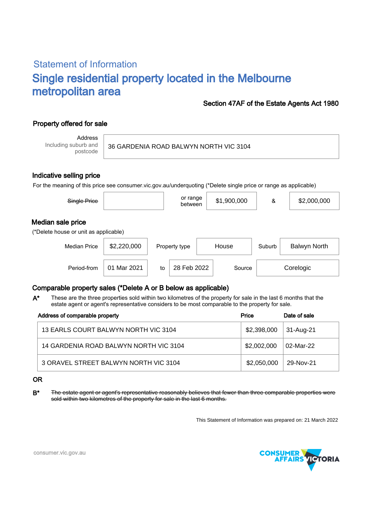# Statement of Information Single residential property located in the Melbourne metropolitan area

### Section 47AF of the Estate Agents Act 1980

# Property offered for sale

Address Including suburb and postcode

#### 36 GARDENIA ROAD BALWYN NORTH VIC 3104

#### Indicative selling price

For the meaning of this price see consumer.vic.gov.au/underquoting (\*Delete single price or range as applicable)

| Single Price                                               |             |               | or range<br>between |        | \$1,900,000 | &      | \$2,000,000  |
|------------------------------------------------------------|-------------|---------------|---------------------|--------|-------------|--------|--------------|
| Median sale price<br>(*Delete house or unit as applicable) |             |               |                     |        |             |        |              |
| \$2,220,000<br><b>Median Price</b>                         |             | Property type |                     | House  |             | Suburb | Balwyn North |
| Period-from                                                | 01 Mar 2021 | to            | 28 Feb 2022         | Source |             |        | Corelogic    |

## Comparable property sales (\*Delete A or B below as applicable)

These are the three properties sold within two kilometres of the property for sale in the last 6 months that the estate agent or agent's representative considers to be most comparable to the property for sale. A\*

| Address of comparable property         | Price       | Date of sale |
|----------------------------------------|-------------|--------------|
| 13 EARLS COURT BALWYN NORTH VIC 3104   | \$2,398,000 | 31-Aug-21    |
| 14 GARDENIA ROAD BALWYN NORTH VIC 3104 | \$2,002,000 | 02-Mar-22    |
| 3 ORAVEL STREET BALWYN NORTH VIC 3104  | \$2,050,000 | 29-Nov-21    |

#### OR

B<sup>\*</sup> The estate agent or agent's representative reasonably believes that fewer than three comparable properties were sold within two kilometres of the property for sale in the last 6 months.

This Statement of Information was prepared on: 21 March 2022



consumer.vic.gov.au